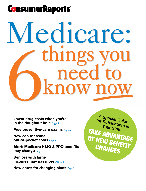## **ConsumerReports**

# Medicare: 6 things you need to know the to know the to know the to know the to know the to know the to know the to know the to know the to know the to know the to know the to know the to know the to know the to know the to know the to know the t

**Lower drug costs when you're in the doughnut hole Page 4**

**Free preventive-care exams Page 6**

**New cap for some out-of-pocket costs Page 8**

**Alert: Medicare HMO & PPO benefits may change Page 8**

**Seniors with large incomes may pay more Page 10**

**New dates for changing plans Page 11**

A Special Guide for Subscribers in Your State TAKE ADVAN OF NEW BENEFIT **TAGE CHANGES**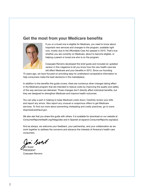#### **Get the most from your Medicare benefits**



If you or a loved one is eligible for Medicare, you need to know about important new services and changes to the program, available right now, mostly due to the Affordable Care Act passed in 2010. That's true whether you are currently on Medicare, about to become eligible, or helping a parent or loved one who is on the program.

Consumer Reports developed this brief guide and included an updated version in this magazine to let you know how the new health-care law will affect Medicare and your benefits in 2012. Since our founding

75 years ago, we have focused on providing easy-to-understand comparative information to help consumers make the best decisions in the marketplace.

In addition to the benefits this guide covers, there are numerous other changes taking effect in the Medicare program that are intended to reduce costs by improving the quality and safety of the way services are delivered. Those changes don't directly affect individual benefits, but they are designed to strengthen Medicare and improve health outcomes.

You can play a part in helping to keep Medicare costs down: Carefully review your bills and report any errors. Also report any unusual or suspicious offers to get Medicare services. To find out more about preventing misleading and costly practices, go to *www. stopmedicarefraud.gov.*

We also ask that you share this guide with others. It is available for download on our website at *ConsumerReportsHealth.org/freeguides* and in Spanish at *espanol.ConsumerReports.org/salud.*

And as always, we welcome your feedback, your partnership, and your collaboration as we work together to address the concerns and advance the interests of America's health-care consumers.

in Solt

**Ji**m Guest **RESIDENT** Consumer Reports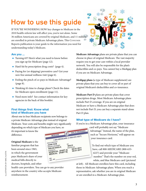## How to use this guide

IF YOU'RE WONDERING HOW key changes to Medicare in the 2010 health-reform law will affect you, you're not alone. Some 36 million Americans are covered by original Medicare, and 11 million are enrolled in private Medicare Advantage plans. This Consumer Reports publication is your guide to the information you need for understanding today's Medicare.

#### **Are you ...**

- **•** Turning 65? Here's what you need to know before you sign up for Medicare (page 12).
- Hard-hit by prescription drug costs? (page 4).
- **•** Paying for (or skipping) preventive care? Get your new free annual wellness visit (page 6).
- **•** Feeling the pinch of co-pays in Medicare Advantage? (page 8).
- **•** Thinking it's time to change plans? Check the dates for Medicare open enrollment (page 11).
- **•** Need more info? See contact information for key agencies in the back of this booklet.

#### **First things first: Know what kind of Medicare you have**

About one in four Medicare recipients now belongs to a private Medicare Advantage plan instead of original Medicare. Your costs and benefits might vary significantly depending on which type of Medicare you have, so

it's important to know the difference.

**Original Medicare** is the familiar program that has been around since 1965, in which the government pays Medicare's share of your medical bills directly to doctors, hospitals, and other



health-care providers. You can go to any provider anywhere in the country who accepts Medicare reimbursement.



**Medicare Advantage** plans are private plans that you can choose in place of original Medicare. The vast majority require you to get your care within a local provider network. You will also be responsible for the plan's deductibles and co-pays. You cannot buy a Medigap plan if you are on Medicare Advantage.

**Medigap plans (**a type of Medicare supplement) are private plans that you can buy to cover all or part of original Medicare's deductibles and co-insurance.

**Medicare Part D** plans are private plans that cover prescription drugs. Most Medicare Advantage plans include Part D coverage. If you are on original Medicare or have a Medicare Advantage plan that does not include Part D, you can buy a separate stand-alone Part D plan.

#### **What type of Medicare do I have?**

If you're in a Medicare Advantage plan, your insurance

card will probably not say "Medicare Advantage." Instead, the name of the plan, such as "Secure Horizons," will appear on your insurance card.

To find out which type of Medicare you have, call 800-MEDICARE (800-633- 4227) and provide your "Medicare number." That's the number on your red, white, and blue Medicare card (pictured

at left). All Medicare enrollees have this card, including those in Medicare Advantage plans. When you reach a representative, ask whether you are in original Medicare or are enrolled in a Medicare Advantage plan.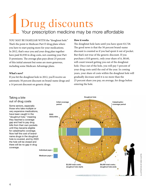# Drug discounts<br>Your prescription medicine may be more affordable

YOU MAY BE FAMILIAR WITH the "doughnut hole." That's the point in Medicare Part D drug plans where you have to start paying more for your medications. In 2012, that's once you and your drug plan together have paid \$2,930 in drug costs, not counting your Part D premiums. The average plan pays about 25 percent of this initial amount but some are more generous, including some Medicare Advantage plans.

#### **What's new?**

If you hit the doughnut hole in 2012, you'll receive an automatic 50 percent discount on brand-name drugs and a 14 percent discount on generic drugs.

#### **How it works**

The doughnut hole lasts until you have spent \$3,728. The good news is that the 50 percent brand-name discount is counted as if you had spent it out of pocket. But that's not true of the generic discount. If you purchase a \$10 generic, only your share of it, \$8.60, will count toward getting you out of the doughnut hole. Once out of the hole, you will pay 5 percent of your drug costs until the end of the year. In coming years, your share of costs within the doughnut hole will gradually decrease until it is no more than the 25 percent share you pay, on average, for drugs before entering the hole.

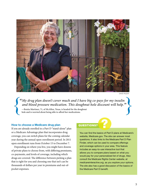

David Pezzat

*"My drug plan doesn't cover much and I have big co-pays for my insulin*  and blood pressure medication. This doughnut hole discount will help."<br>—Benita Martinez, 71, of McAllen, Texas, is headed for the doughnut My drug plan doesn't cover much and I have big co-pays for my insulined and blood pressure medication. This doughnut hole discount will help.

#### **How to choose a Medicare drug plan**

If you are already enrolled in a Part D "stand-alone" plan or a Medicare Advantage plan that incorporates drug coverage, you can switch plans for the coming calendar year during the annual open-enrollment period. In 2011 open enrollment runs from October 15 to December 7.

Depending on where you live, you might have dozens of private plans to choose from, with differing premiums, co-payments, and levels of coverage, including which drugs are covered. The difference between picking a plan that is right for you and choosing one that isn't can be thousands of dollars per year in premiums and out-ofpocket expenses.

#### QUESTIONS? ?

You can find the basics of Part D plans at Medicare's website, Medicare.gov. The site can answer most questions. It also links to the Medicare Part D Plan Finder, which can be used to compare offerings and coverage options in your area. This feature includes an easy-to-use interactive tool that allows you to compare plans based on what you would pay for your personalized list of drugs. Also consult the Medicare Rights Center website, at *medicareinteractive.org,* as you explore your options. The site also has a good discussion of the basics of the Medicare Part D benefit.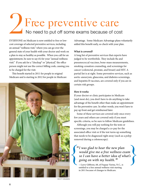## Free preventive care No need to put off some exams because of cost DE

EVERYONE on Medicare is now entitled to free or lowcost coverage of selected preventive services, including an annual "wellness visit," where you can go over the general state of your health with your doctor and work on a plan to stay as healthy as possible. When you call for an appointment, be sure to say it's for your "annual wellness visit." If you ask for a "checkup" or "physical," the office person might not use the correct billing code, causing you to be charged for the visit.

This benefit started in 2011 for people in original Medicare and is starting in 2012 for people in Medicare



scott dingman

Advantage. Some Medicare Advantage plans voluntarily added this benefit early, so check with your plan.

#### **What is covered?**

A long list of preventive services that experts have judged to be worthwhile. They include flu and pneumococcal vaccines, bone-mass measurements, smoking-cessation counseling, and screenings for cancer (colorectal, prostate, and breast) and HIV. A partial list is at right. Some preventive services, such as aortic-aneurysm, glaucoma, and diabetes screenings, and hepatitis B vaccines, are covered only if you are in certain risk groups.

#### **How it works**

If your doctor or clinic participates in Medicare (and most do), you don't have to do anything to take advantage of the benefit other than make an appointment for the preventive care. In other words, you won't have to pay up front and get reimbursed later.

Some of these services are covered only once every few years and others are covered only if you meet specific criteria, so be sure to follow Medicare guidelines.

Although you will pay nothing for the tests or screenings, you may be charged a co-pay for the associated office visit or if the test turns up something that needs to be diagnosed right away (such as a polyp removed during a colonoscopy).

#### *"I was glad to hear the new plan would give me a free wellness exam so I can have a better idea of what's going on with my health." f*  $\left\{\n \begin{array}{c}\n \text{``I was glad to hear the new plan would give me a free wellness exam so I can have a better idea of what's going on with my health."\n \end{array}\n\right\}$

—Larry Gibbons, 68, of Fuquay Varina, N.C., is entitled to a free annual wellness visit starting in 2011 because of changes to Medicare.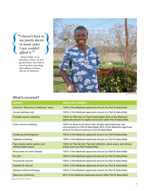*"I haven't been to my family doctor in many years. I just couldn't afford it."* **<br>
Figure 1** avent been to<br>
my family doctor<br>
in many years.<br>
I just couldn't<br>
afford it "

—Bessie Fields, 74, of Manchaca, Texas, can now get preventive care with no out-of-pocket costs along with millions of others who are on Medicare.



#### What's covered?

Blake Hutson

| <b>SERVICE</b>                                         | <b>MEDICARE COVERS </b>                                                                                                                                                             |
|--------------------------------------------------------|-------------------------------------------------------------------------------------------------------------------------------------------------------------------------------------|
| One-time "Welcome to Medicare" exam                    | 100% of the Medicare-approved amount (no Part B deductible)                                                                                                                         |
| Annual wellness visit                                  | 100% of the Medicare-approved amount (no Part B deductible)                                                                                                                         |
| Prostate cancer screening                              | 100% for PSA test (no Part B deductible); 80% of the Medicare-<br>approved amount for digital rectal exam (after Part B deductible)                                                 |
| Colon cancer screening                                 | 100% for fecal occult blood test, flexible sigmoidoscopy, and<br>colonoscopy (no Part B deductible); 80% of the Medicare-approved<br>amount for barium enema (no Part B deductible) |
| Screening mammograms                                   | 100% of the Medicare-approved amount (no Part B deductible)                                                                                                                         |
| Diabetes screening                                     | 100% of the Medicare-approved amount (no Part B deductible)                                                                                                                         |
| Pap smears, pelvic exams, and<br>clinical breast exams | 100% for Pap lab test, Pap test collection, pelvic exam, and clinical<br>breast exam (no Part B deductible)                                                                         |
| Blood tests for heart disease                          | 100% of the Medicare-approved amount (no Part B deductible)                                                                                                                         |
| Flu shot                                               | 100% of the Medicare-approved amount (no Part B deductible)                                                                                                                         |
| Pneumonia vaccine                                      | 100% of the Medicare-approved amount (no Part B deductible)                                                                                                                         |
| <b>Hepatitis B vaccine</b>                             | 100% of the Medicare-approved amount (no Part B deductible)                                                                                                                         |
| Medical nutritional therapy                            | 100% of the Medicare-approved amount (no Part B deductible)                                                                                                                         |
| Glaucoma screening                                     | 80% of the Medicare-approved amount (after Part B deductible)                                                                                                                       |
|                                                        |                                                                                                                                                                                     |

Medicare Rights Center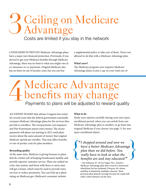## Ceiling on Medicare **3** Ceiling on<br>Advantage<br>Costs are limited if you s

Costs are limited if you stay in the network

Consumers in private Medicare Advantage plans have a major new financial protection. Previously, if you elected to get your Medicare benefits through Medicare Advantage, there was no limit to what you might owe in co-insurance or co-payments. Original Medicare also has no limit on out-of-pocket costs, but you can buy

a supplemental policy to take care of them. You're not allowed to do that with a Medicare Advantage plan.

#### **What's new?**

The Medicare program now requires Medicare Advantage plans to put a cap on your total out-of-

### Medicare Advantage benefits may change Payments to plans will be adjusted to reward quality  $4b$

AN EXPERT BOARD that advises Congress has noted for several years that the federal government essentially overpays Medicare Advantage plans for the services they provide to enrollees. The overpayments cost taxpayers and Part B premium payers extra money. The excess payments will phase out starting in 2012 until plans receive about the same amount of money that original Medicare spends per enrollee. That may affect benefits or out-of-pocket costs for plan members.

#### **Rewarding quality**

At the same time, Medicare is giving bonuses to plans that do a better job of keeping beneficiaries healthy and provide superior customer service. Plans are ranked on a five-star system, and those with three or more stars will get a bonus, which must be used to provide extra services or reduce premiums. You can look up a plan's rating on Medicare.gov, Medicare's consumer website.

#### **What to do**

Study your options carefully during your next openenrollment period, when you can switch from one Medicare Advantage plan to another, or go back into original Medicare if you choose (see page 11 for new open-enrollment dates).

*"I shopped around and now we have a better Medicare Advantage plan than we did before. You really have to look at what the benefits are and stay educated."*  <sup>**\***I shopped around and now we<br>have a better Medicare Advantage<br>plan than we did before. You<br>really have to look at what the<br>hangits are and stay advantage?</sup>

> —Joy Johnson, 67, of Las Vegas, Nev., found a Medicare Advantage plan that covered a motorized wheelchair for her husband, Dwayne, 69, whose mobility is limited by multiple sclerosis. Their previous plan denied coverage because he could still walk a short distance on his own.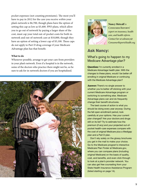pocket expenses (not counting premiums). The most you'll have to pay in 2012 for the care you receive *within* your plan's network is \$6,700, though plans have the option of setting this cap as low as \$3,400. PPO plans, which allow you to go out of network by paying a larger share of the cost, must cap your total out-of-pocket costs for both innetwork and out-of-network care at \$10,000, though they have an option of setting a lower cap of \$5,100. These caps do not apply to Part D drug coverage if your Medicare Advantage plan has that benefit.

#### **What to do**

Whenever possible, arrange to get your care from providers in your plan's network. Even if a hospital is in the network, some of the doctors who practice there might not be, so be sure to ask for in-network doctors if you are hospitalized.





**Nancy Metcalf** *is* Consumer Reports' *expert on insurance, health care, and health reform. Contact her at asknancy@ ConsumerReportsHealth.org.*

#### **Ask Nancy:**

#### What's going to happen to my Medicare Advantage plan?

Question: I'm currently enrolled in a Medicare Advantage health plan. With the changes to these plans, would I be better off enrolling in original Medicare or continuing with the Medicare Advantage plan?

Answer: There's no single answer to whether you're better off sticking with your current Medicare Advantage program or switching to something else. Medicare Advantage plans can and do frequently change their benefit structures.

The best course of action is what you should be doing every year anyway: During the fall open-enrollment period, look carefully at your options. Has your current plan changed? Are your doctors and drugs still on its list? Try to estimate how the premium (if any) and your projected out-ofpocket health-care expenses compare with the cost of original Medicare plus a Medigap plan and a Part D plan.

 Don't rely solely on the glossy brochures you get in the mail to make your choice. Go to the Medicare program's interactive Medicare Plan Finder at Medicare.gov, where you can compare plans (including original Medicare) on the basis of quality, cost, and benefits, and even click through to look at a plan's provider network. You can also get free counseling from your State Health Insurance Assistance Program (listed starting on page 14).

Sampsel preston photography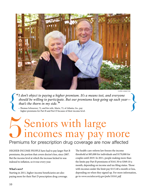

chris hamilton

*"I don't object to paying a higher premium. It's a means test, and everyone should be willing to participate. But our premiums keep going up each year that's the thorn in my side." <sup>CHRIS HAMILTON***<br>
<b>EXACTLE 10 A** *bigher premium. It's a means test, and everyone*<br> *should be willing to participate. But our premiums keep going up each year*—<br> *that's the thorn in my side.* "<br>
—Thomas Schwarzer, 72, </sup>

—Thomas Schwarzer, 72, and his wife, Marie, 73, of Atlanta, Ga., pay higher premiums for Part B and Part D because of their income level.

## Premiums for prescription drug coverage are now affected Seniors with large<br>incomes may pay more

HIGHER-INCOME people have had to pay larger Part B premiums, the portion that covers doctor's fees, since 2007. But the income level at which the increase kicked in was indexed to inflation, so it rose every year.

#### **What's new?**

Starting in 2011, higher-income beneficiaries are also paying more for their Part D prescription drug coverage. The health-care-reform law freezes the income threshold at \$85,000 for individuals and \$170,000 for couples until 2019. In 2011, people making more than the limits pay Part B premiums of \$161.50 to \$369.10 a month, depending on income and tax filing status. Those with incomes under the limit pay \$115.40 a month or less, depending on when they signed up. For more information, go to *www.socialsecurity.gov/pubs/10161.pdf.*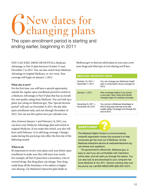## New dates for changing plans  $6<sub>el</sub>$

The open-enrollment period is starting and ending earlier, beginning in 2011

YOU CAN JOIN, DROP, OR SWITCH a Medicare Advantage or Part D plan between October 15 and December 7 in 2011. You can also switch from Medicare Advantage to original Medicare, or vice versa. Your coverage will begin on January 1, 2012.

#### **What else is new?**

For the first time, you will have a special opportunity outside the regular open-enrollment period to switch to a Medicare Advantage or Part D plan that has an overall five-star quality rating from Medicare. You can look up a plan's star rating on Medicare.gov. This "special election period" will start on December 8, 2011, the day after open enrollment ends, and run through November of 2012. You can use this option once per calendar year.

Also, between January 1 and February 14, 2012, you can leave your Medicare Advantage plan and switch to original Medicare. If you make this switch, you also will have until February 14 to add drug coverage. Changes made during this period go into effect the first day of the following month.

#### **What to do**

It's important to review your plans each year before open enrollment to make sure they still meet your needs. For example, all Part D plans have a formulary, a list of covered drugs. But drug plans can change. Your drug could drop off the formulary or be subject to higher cost-sharing. Use Medicare's interactive plan finder at

Medicare.gov to find out which plans in your area cover your drugs and what type of cost-sharing you'll face.

#### **Medicare: Important Dates**

| October 15, 2011-<br>December 7, 2011     | You can change your Medicare health<br>plan or prescription drug coverage for<br>2012.                                                     |
|-------------------------------------------|--------------------------------------------------------------------------------------------------------------------------------------------|
| <b>January 1, 2012</b>                    | New coverage begins if you joined<br>a new plan. New costs and benefit<br>changes begin for existing coverage.                             |
| December 8, $2011 -$<br>November 30, 2012 | You can join a Medicare Advantage or<br>Part D drug plan that has a five-star<br>quality rating. Coverage runs through the<br>end of 2012. |

#### QUESTIONS?

The Medicare Rights Center is a noncommercial, nonprofit organization whose only purpose is to help consumers get the most out of Medicare. Its free Medicare Interactive service at *medicareinteractive.org* can answer your questions.

The government's official site, Medicare.gov, is easy to use if you are comfortable with interactive online sites, and will walk you through the basics. You can also look at and download to your computer the book *Medicare & You 2011*. Seniors wanting help over the phone can call 800-MEDICARE (800-633-4227).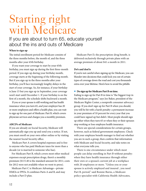## Starting right with Medicare

If you are about to turn 65, educate yourself about the ins and outs of Medicare

#### **When to sign up**

The initial enrollment period for Medicare consists of the three months before, the month of, and the three months after your 65th birthday.

If you want your coverage to start by your 65th birthday, you must sign up during the first three-month period. If you sign up during your birthday month, coverage starts at the beginning of the following month. But if you sign up in the three months after your birthday, you'll face increasingly lengthy delays in the start of your coverage. So, for instance, if your birthday is June 15 but you sign up in September, your coverage won't start until December 1. If your birthday is on the first of a month, the schedule shifts backward a month.

If you or your spouse is still working and has health insurance when you turn 65, *and* your employer has 20 or more employees and offers a health plan, you can wait to sign up for one part of Medicare: Part B, which covers physician services and charges you a monthly premium.

#### **ABCD's of Medicare**

If you are already on Social Security, Medicare will automatically sign you up and send you a notice. If not, you must enroll on your own either online or by visiting the nearest Social Security office.

Medicare Part A covers hospital expenses and is free to anyone who has paid Medicare taxes for more than a decade (or is married to someone who has).

 For Medicare Part B, which covers most other medical expenses except prescription drugs, there's a monthly premium (\$115.40 is the standard amount for 2011; costs for 2012 were not available when we went to press).

 Medicare Part C is Medicare Advantage—private HMOs or PPOs. It combines Parts A and B, and may include a Part D plan.

 Medicare Part D, the prescription-drug benefit, is delivered exclusively through private plans with an average premium of about \$41 a month in 2011.

#### **Do's and don'ts**

If you're not careful when signing up for Medicare, you can blunder into decisions that could lock you out of certain types of coverage down the road and cost you thousands extra over your lifetime. Here's how to avoid the pitfalls:

#### **• Do sign up for Medicare Part B on time.**

Failing to sign up for Part B in time is "the biggest trap in the Medicare program," says Joe Baker, president of the Medicare Rights Center, a nonprofit consumer advocacy group. If you don't sign up for Part B when you should, you will be hit with a harsh penalty: a permanent increase in your premium of 10 percent for every year that you could have signed up but didn't. Most people should sign up either when they turn 65 or when they or their spouses stop working or lose employee health insurance.

There are special considerations for certain groups, however, such as federal government employees. Check with your employee benefit manager to find out whether you are in such a group, then confirm that information with Medicare and Social Security, and take notes on what everyone tells you.

There is one circumstance under which most people can delay enrolling in Part B without penalty: when they have health insurance through either their own or a spouse's current job at a workplace with 20 employees or more. "Unless you or your spouse is actively employed and insured , you need Part B, period," said Bonnie Burns, a Medicare policy specialist with California Health Advocates,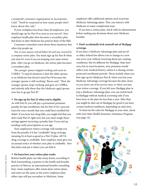a nonprofit consumer organization in Sacramento, Calif. "You'd be surprised at how many people don't know about this rule."

If your workplace has fewer than 20 employees, you should sign up for Part B as soon as you turn 65. Your employee health plan then becomes a secondary plan that kicks in after Medicare has paid its share of the bills.

Consumer counselors warn about these situations that often trip people up:

*You or your spouse retired before 65 and was covered by a company retiree plan.* You must sign up for Part B when you turn 65, even if you are keeping your same retiree plan. After you go on Medicare, the retiree plan becomes a secondary plan.

*The younger spouse stopped working and went on COBRA.* "A typical situation is that the older spouse is on Medicare but doesn't need Part B because the younger spouse is still working," Burns said. "Then the younger spouse stops working and goes on COBRA, and nobody tells them that the Medicare-aged spouse now has to go get Part B."

#### **• Do sign up for Part D when you're eligible.**

As with Part B, you will pay a permanent premium penalty for late enrollment, but for Part D it's 1 percent extra for every month that you could have enrolled but didn't. If you have low drug bills, you might feel that you don't need Part D right now, but you must weigh those savings against incurring a penalty later if you end up needing costly prescriptions as you age.

Your employeeor retiree coverage will exempt you from the penalty if it has "creditable" drug coverage, meaning it's at least as good as a Part D plan. All VA drug coverage is creditable. Your employer must give you an annual notice of whether your plan is creditable. Save that letter and put it where you can find it.

#### **• Do learn how your retiree plan works.**

Retiree health plans can take many forms, according to Rich Fuerstenberg, a partner in the health and benefits practice of Mercer, an international benefits consulting firm. Some employers offer stand-alone retiree plans, and some are the same as the active-employee plan; either type will pay secondary to Medicare. Some

employers offer additional options such as private Medicare Advantage plans. They can interact with Medicare in many complicated ways.

If you have a retiree plan, check with its administrator before making any decisions about your Medicare benefits.

#### **• Don't accidentally lock yourself out of Medigap coverage.**

If you have a Medicare Advantage plan and are 65 or older, federal law allows you to change to a new one every year without worrying about pre-existing conditions. But it's different for Medigap. State laws vary, but in most locations, your premium would reflect your medical history, unless it is during certain protected enrollment periods. Those include when you first sign up for Medicare Part B, when you lose your Medicare Advantage coverage because the plan closes or you move out of its service area, or when you lose your retiree coverage. If you left your Medigap plan to join a Medicare Advantage plan, you can switch back to Medigap without medical screening only if you have been in the plan for less than a year. After that, you might be shut out of Medigap for good if you have certain medical conditions, depending on state laws.

To find out the rules for Medigap in your state, check with your State Health Insurance Assistance Program (see page 14).

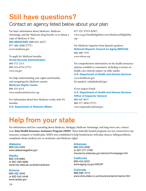### Still have questions?

#### Contact an agency listed below about your plan

For basic information about Medicare, Medicare Advantage, and the Medicare drug benefit, or to obtain a copy of *Medicare & You*: **800-MEDICARE** (800-633-4227) 877-486-2048 (TTY) *www.medicare.gov*

To apply for Medicare benefits: **Social Security Administration** 800-772-1213 800-325-0778 (TTY) *www.ssa.gov*

For help understanding your rights and benefits, and navigating the Medicare system:

#### **Medicare Rights Center**

800-333-4114 *www.medicareinteractive.org*

For information about how Medicare works with VA benefits: **U.S. Department of Veterans Affairs**

877-222-VETS (8387) *www.va.gov/healtheligibility/costs/MedicareDEligibility. asp*

For Medicare inquiries from Spanish speakers: **National Hispanic Council on Aging (NHCOA)** 866-488-7379 *www.nhcoa.org*

For comprehensive information on the health insurance options available to consumers, including a section on health-care reform's impact on older adults:

**U.S. Department of Health and Human Services** *www.healthcare.gov* En español: *cuidadodesalud.gov*

If you suspect fraud: **U.S. Department of Health and Human Services Office of Inspector General** 800-447-8477 800-377-4950 (TTY) *www.stopmedicarefraud.gov*

## Help from your state

For information and free counseling about Medicare, Medigap, Medicare Advantage, and long-term care, contact your **State Health Insurance Assistance Program (SHIP)**. These federally funded programs are not connected to any insurance company or health plan. SHIPs were established to help beneficiaries with plan choices, billing problems, complaints about medical care or treatment, and Medicare rights.

. . . . . . . . . . . . .

#### **Alabama**

800-243-5463 *www.alabamaageline.gov*

#### **Alaska**

800-478-6065 or 907-269-3680 *www.hss.state.ak.us/dsds/medicare*

#### **Arizona**

800-432-4040 or 602-542-4446 *www.azdes.gov*

#### **Arkansas**

800-224-6330 or 501-371-2782 *insurance.arkansas.gov/seniors/homepage.htm*

**California**

800-434-0222 *www.aging.ca.gov/HICAP*

#### **Colorado**

888-696-7213 *www.dora.state.co.us/insurance/senior/senior.htm*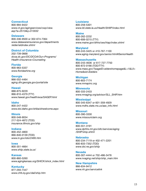#### **Connecticut**

800-994-9422 *www.ct.gov/agingservices/cwp/view. asp?a=2513&q=313032*

**Delaware**

800-336-9500 or 302-674-7364 *www.delawareinsurance.gov/departments /elder/eldindex.shtml*

#### **District of Columbia**

202-739-0668 *dcoa.dc.gov/DC/DCOA/Our+Programs/ Health+Insurance+Counseling*

**Florida**

800-963-5337 *www.floridashine.org*

**Georgia** 866-552-4464 *aging.dhr.georgia.gov/portal/site*

**Hawaii** 888-875-9229 866-810-4379 (TTY) *www.hawaii.gov/health/eoa/SAGEP.html*

**Idaho**

800-247-4422 *www.doi.idaho.gov/shiba/shwelcome.aspx*

**Illinois**

800-548-9034 217-524-4872 (TDD) *insurance.illinois.gov/ship*

**Indiana** 800-452-4800 866-846-0139 (TDD) *www.in.gov/idoi/2495.htm*

**Iowa** 800-351-4664 *www.shiip.state.ia.us/*

**Kansas** 800-860-5260 *www.agingkansas.org/SHICK/shick\_index.html*

**Kentucky** 877-293-7447 *www.chfs.ky.gov/dail/ship.htm*

#### **Louisiana**

800-259-5301 *www.ldi.state.la.us/Health/SHIIP/index.html*

#### **Maine**

800-262-2232 800-606-0215 (TTY) *www.maine.gov/dhhs/oes/hiap/index.shtml*

**Maryland**

800-243-3425 or 410-767-1100 *www.aging.maryland.gov/senior.html#SeniorHealth*

#### **Massachusetts**

800-243-4636 or 617-727-7750 800-872-0166 (TDD/TTY) *www.mass.gov/?pageID=eldershomepage&L=1&L0= Home&sid=Eelders*

#### **Michigan**

800-803-7174 *www.mmapinc.org*

**Minnesota** 800-333-2433 *www.mnaging.org/advisor/SLL\_SHIP.htm*

**Mississippi** 800-345-6347 or 601-359-4929 *www.mdhs.state.ms.us/aas\_info.html*

**Missouri**

800-390-3330 *www.missouriclaim.org*

**Montana**

800-551-3191 *www.dphhs.mt.gov/sltc/services/aging /SHIP/ship.shtml*

**Nebraska**

800-234-7119 or 402-471-2201 800-833-7352 (TDD) *www.doi.ne.gov/shiip*

**Nevada**

800-307-4444 or 702-486-3478 *www.nvaging.net/ship/ship\_main.htm*

**New Hampshire** 866-634-9412 *www.nh.gov/servicelink*